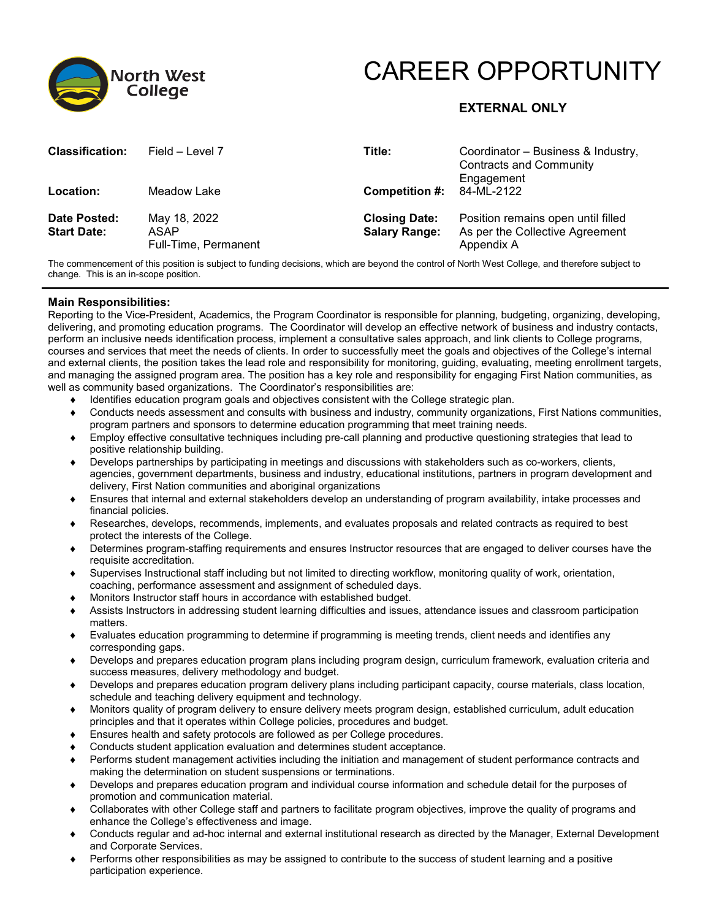

# CAREER OPPORTUNITY

## **EXTERNAL ONLY**

| <b>Classification:</b>             | Field – Level 7                              | Title:                                       | Coordinator - Business & Industry,<br><b>Contracts and Community</b><br>Engagement  |
|------------------------------------|----------------------------------------------|----------------------------------------------|-------------------------------------------------------------------------------------|
| Location:                          | Meadow Lake                                  | <b>Competition #:</b> $84-ML-2122$           |                                                                                     |
| Date Posted:<br><b>Start Date:</b> | May 18, 2022<br>ASAP<br>Full-Time, Permanent | <b>Closing Date:</b><br><b>Salary Range:</b> | Position remains open until filled<br>As per the Collective Agreement<br>Appendix A |

The commencement of this position is subject to funding decisions, which are beyond the control of North West College, and therefore subject to change. This is an in-scope position.

#### **Main Responsibilities:**

Reporting to the Vice-President, Academics, the Program Coordinator is responsible for planning, budgeting, organizing, developing, delivering, and promoting education programs. The Coordinator will develop an effective network of business and industry contacts, perform an inclusive needs identification process, implement a consultative sales approach, and link clients to College programs, courses and services that meet the needs of clients. In order to successfully meet the goals and objectives of the College's internal and external clients, the position takes the lead role and responsibility for monitoring, guiding, evaluating, meeting enrollment targets, and managing the assigned program area. The position has a key role and responsibility for engaging First Nation communities, as well as community based organizations. The Coordinator's responsibilities are:

- ♦ Identifies education program goals and objectives consistent with the College strategic plan.
- ♦ Conducts needs assessment and consults with business and industry, community organizations, First Nations communities, program partners and sponsors to determine education programming that meet training needs.
- ♦ Employ effective consultative techniques including pre-call planning and productive questioning strategies that lead to positive relationship building.
- ♦ Develops partnerships by participating in meetings and discussions with stakeholders such as co-workers, clients, agencies, government departments, business and industry, educational institutions, partners in program development and delivery, First Nation communities and aboriginal organizations
- ♦ Ensures that internal and external stakeholders develop an understanding of program availability, intake processes and financial policies.
- ♦ Researches, develops, recommends, implements, and evaluates proposals and related contracts as required to best protect the interests of the College.
- ♦ Determines program-staffing requirements and ensures Instructor resources that are engaged to deliver courses have the requisite accreditation.
- ♦ Supervises Instructional staff including but not limited to directing workflow, monitoring quality of work, orientation, coaching, performance assessment and assignment of scheduled days.
- ♦ Monitors Instructor staff hours in accordance with established budget.
- Assists Instructors in addressing student learning difficulties and issues, attendance issues and classroom participation matters.
- ♦ Evaluates education programming to determine if programming is meeting trends, client needs and identifies any corresponding gaps.
- ♦ Develops and prepares education program plans including program design, curriculum framework, evaluation criteria and success measures, delivery methodology and budget.
- ♦ Develops and prepares education program delivery plans including participant capacity, course materials, class location, schedule and teaching delivery equipment and technology.
- ♦ Monitors quality of program delivery to ensure delivery meets program design, established curriculum, adult education principles and that it operates within College policies, procedures and budget.
- ♦ Ensures health and safety protocols are followed as per College procedures.
- Conducts student application evaluation and determines student acceptance.
- ♦ Performs student management activities including the initiation and management of student performance contracts and making the determination on student suspensions or terminations.
- ♦ Develops and prepares education program and individual course information and schedule detail for the purposes of promotion and communication material.
- ♦ Collaborates with other College staff and partners to facilitate program objectives, improve the quality of programs and enhance the College's effectiveness and image.
- ♦ Conducts regular and ad-hoc internal and external institutional research as directed by the Manager, External Development and Corporate Services.
- ♦ Performs other responsibilities as may be assigned to contribute to the success of student learning and a positive participation experience.